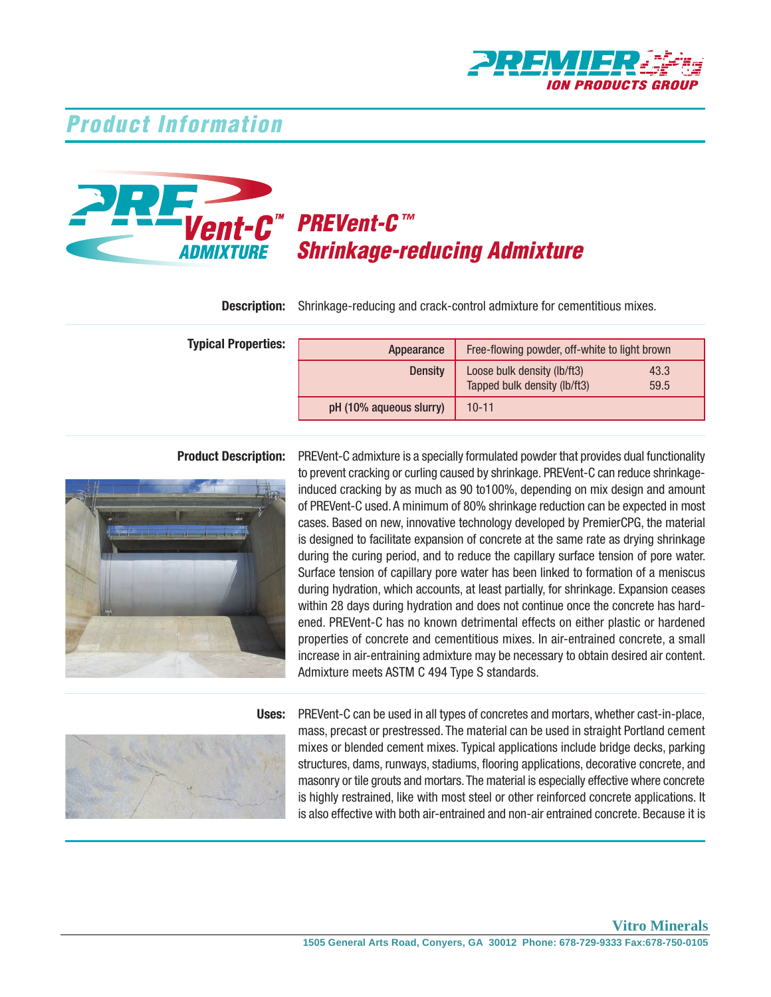

## **Product Information**



# PREVent-C™ Shrinkage-reducing Admixture

**Description:** Shrinkage-reducing and crack-control admixture for cementitious mixes.

**Typical Properties:** 

| Appearance              | Free-flowing powder, off-white to light brown               |              |
|-------------------------|-------------------------------------------------------------|--------------|
| <b>Density</b>          | Loose bulk density (lb/ft3)<br>Tapped bulk density (lb/ft3) | 43.3<br>59.5 |
| pH (10% aqueous slurry) | $10 - 11$                                                   |              |



Product Description: PREVent-C admixture is a specially formulated powder that provides dual functionality to prevent cracking or curling caused by shrinkage. PREVent-C can reduce shrinkage- induced cracking by as much as 90 to100%, depending on mix design and amount of PREVent-C used. A minimum of 80% shrinkage reduction can be expected in most cases. Based on new, innovative technology developed by PremierCPG, the material is designed to facilitate expansion of concrete at the same rate as drying shrinkage during the curing period, and to reduce the capillary surface tension of pore water. Surface tension of capillary pore water has been linked to formation of a meniscus during hydration, which accounts, at least partially, for shrinkage. Expansion ceases within 28 days during hydration and does not continue once the concrete has hard- ened. PREVent-C has no known detrimental effects on either plastic or hardened properties of concrete and cementitious mixes. In air-entrained concrete, a small increase in air-entraining admixture may be necessary to obtain desired air content. Admixture meets ASTM C 494 Type S standards.



Uses: PREVent-C can be used in all types of concretes and mortars, whether cast-in-place, mass, precast or prestressed. The material can be used in straight Portland cement mixes or blended cement mixes. Typical applications include bridge decks, parking structures, dams, runways, stadiums, flooring applications, decorative concrete, and masonry or tile grouts and mortars. The material is especially effective where concrete is highly restrained, like with most steel or other reinforced concrete applications. It is also effective with both air-entrained and non-air entrained concrete. Because it is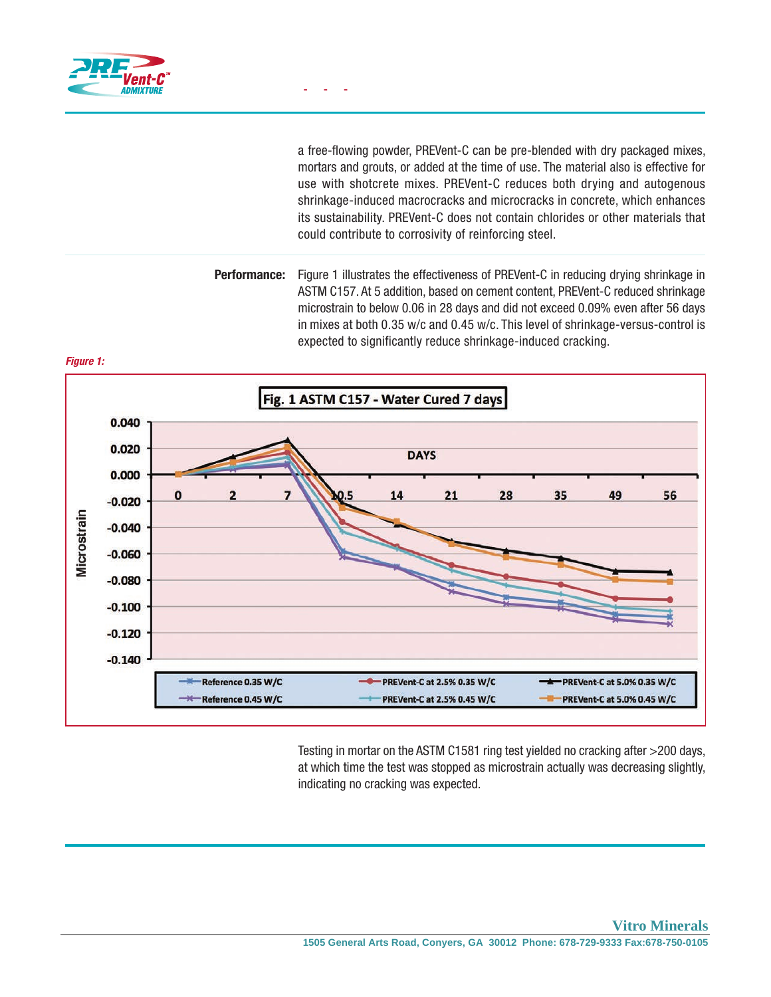

 a free-flowing powder, PREVent-C can be pre-blended with dry packaged mixes, mortars and grouts, or added at the time of use. The material also is effective for use with shotcrete mixes. PREVent-C reduces both drying and autogenous shrinkage-induced macrocracks and microcracks in concrete, which enhances its sustainability. PREVent-C does not contain chlorides or other materials that could contribute to corrosivity of reinforcing steel.

 Figure 1 illustrates the effectiveness of PREVent-C in reducing drying shrinkage in ASTM C157. At 5 addition, based on cement content, PREVent-C reduced shrinkage microstrain to below 0.06 in 28 days and did not exceed 0.09% even after 56 days in mixes at both 0.35 w/c and 0.45 w/c. This level of shrinkage-versus-control is expected to significantly reduce shrinkage-induced cracking. Performance:



 Testing in mortar on the ASTM C1581 ring test yielded no cracking after >200 days, at which time the test was stopped as microstrain actually was decreasing slightly, indicating no cracking was expected.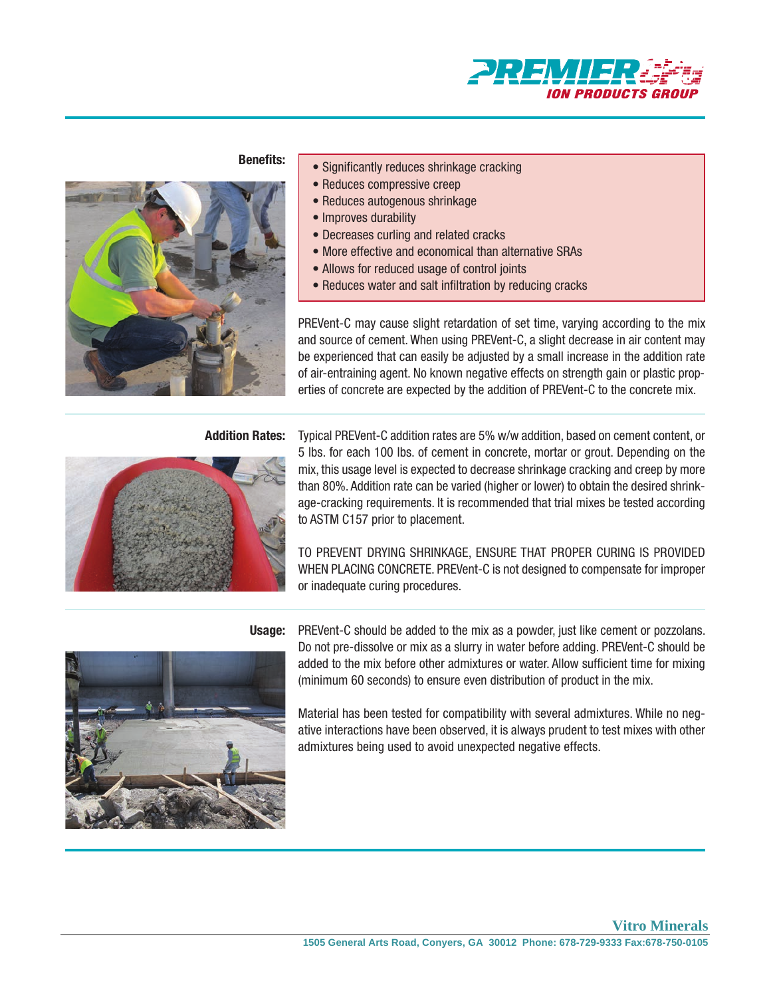

### Benefits:



### • Significantly reduces shrinkage cracking

- Reduces compressive creep
- Reduces autogenous shrinkage
- Improves durability
- Decreases curling and related cracks
- More effective and economical than alternative SRAs
- Allows for reduced usage of control joints
- Reduces water and salt infiltration by reducing cracks

PREVent-C may cause slight retardation of set time, varying according to the mix and source of cement. When using PREVent-C, a slight decrease in air content may be experienced that can easily be adjusted by a small increase in the addition rate of air-entraining agent. No known negative effects on strength gain or plastic properties of concrete are expected by the addition of PREV ent-C to the concrete mix.



Addition Rates: Typical PREVent-C addition rates are 5% w/w addition, based on cement content, or 5 lbs. for each 100 lbs. of cement in concrete, mortar or grout. Depending on the mix, this usage level is expected to decrease shrinkage cracking and creep by more than 80%. Addition rate can be varied (higher or lower) to obtain the desired shrink- age-cracking requirements. It is recommended that trial mixes be tested according to ASTM C157 prior to placement.

> TO PREVENT DRYING SHRINKAGE, ENSURE THAT PROPER CURING IS PROVIDED WHEN PLACING CONCRETE. PREVent-C is not designed to compensate for improper or inadequate curing procedures.



Usage: PREVent-C should be added to the mix as a powder, just like cement or pozzolans. Do not pre-dissolve or mix as a slurry in water before adding. PREVent-C should be added to the mix before other admixtures or water. Allow sufficient time for mixing (minimum 60 seconds) to ensure even distribution of product in the mix.

> Material has been tested for compatibility with several admixtures. While no neg- ative interactions have been observed, it is always prudent to test mixes with other admixtures being used to avoid unexpected negative effects.